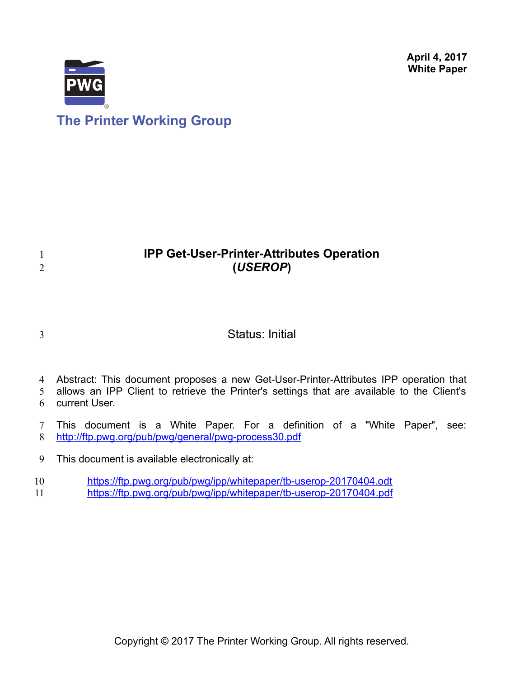**April 4, 2017 White Paper**



# **IPP Get-User-Printer-Attributes Operation (***USEROP***)**

3

1 2

## Status: Initial

4 Abstract: This document proposes a new Get-User-Printer-Attributes IPP operation that

allows an IPP Client to retrieve the Printer's settings that are available to the Client's current User. 5 6

This document is a White Paper. For a definition of a "White Paper", see: <http://ftp.pwg.org/pub/pwg/general/pwg-process30.pdf> 7 8

This document is available electronically at: 9

<https://ftp.pwg.org/pub/pwg/ipp/whitepaper/tb-userop-20170404.odt> 10

https://ftp.pwg.org/pub/pwg/ipp/whitepaper/tb-userop-20170404.pdf 11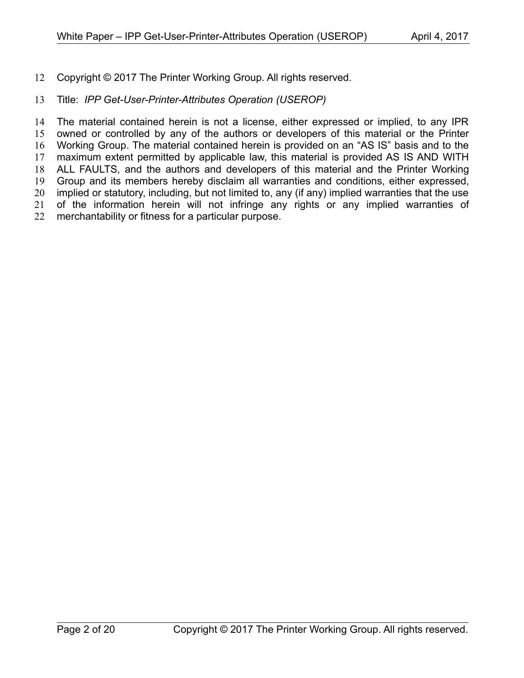Copyright © 2017 The Printer Working Group. All rights reserved. 12

#### Title: *IPP Get-User-Printer-Attributes Operation (USEROP)* 13

The material contained herein is not a license, either expressed or implied, to any IPR owned or controlled by any of the authors or developers of this material or the Printer Working Group. The material contained herein is provided on an "AS IS" basis and to the maximum extent permitted by applicable law, this material is provided AS IS AND WITH ALL FAULTS, and the authors and developers of this material and the Printer Working Group and its members hereby disclaim all warranties and conditions, either expressed, implied or statutory, including, but not limited to, any (if any) implied warranties that the use of the information herein will not infringe any rights or any implied warranties of merchantability or fitness for a particular purpose. 14 15 16 17 18 19 20 21 22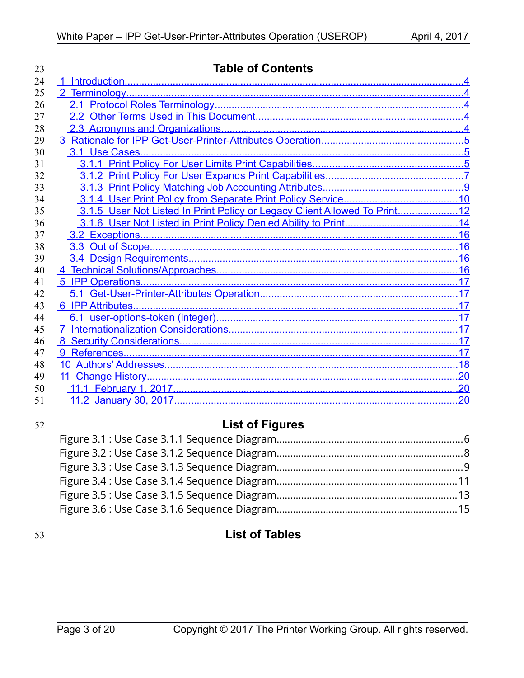| 23 | <b>Table of Contents</b>                                                  |    |  |  |
|----|---------------------------------------------------------------------------|----|--|--|
| 24 |                                                                           |    |  |  |
| 25 |                                                                           |    |  |  |
| 26 |                                                                           |    |  |  |
| 27 |                                                                           |    |  |  |
| 28 |                                                                           |    |  |  |
| 29 |                                                                           |    |  |  |
| 30 |                                                                           |    |  |  |
| 31 |                                                                           |    |  |  |
| 32 |                                                                           |    |  |  |
| 33 |                                                                           |    |  |  |
| 34 |                                                                           |    |  |  |
| 35 | 3.1.5 User Not Listed In Print Policy or Legacy Client Allowed To Print12 |    |  |  |
| 36 |                                                                           |    |  |  |
| 37 |                                                                           |    |  |  |
| 38 |                                                                           |    |  |  |
| 39 |                                                                           |    |  |  |
| 40 |                                                                           |    |  |  |
| 41 |                                                                           |    |  |  |
| 42 |                                                                           |    |  |  |
| 43 |                                                                           |    |  |  |
| 44 |                                                                           |    |  |  |
| 45 |                                                                           |    |  |  |
| 46 |                                                                           |    |  |  |
| 47 |                                                                           |    |  |  |
| 48 |                                                                           |    |  |  |
| 49 |                                                                           |    |  |  |
| 50 |                                                                           |    |  |  |
| 51 |                                                                           | 20 |  |  |

## 52

# **List of Figures**

## 53

# **List of Tables**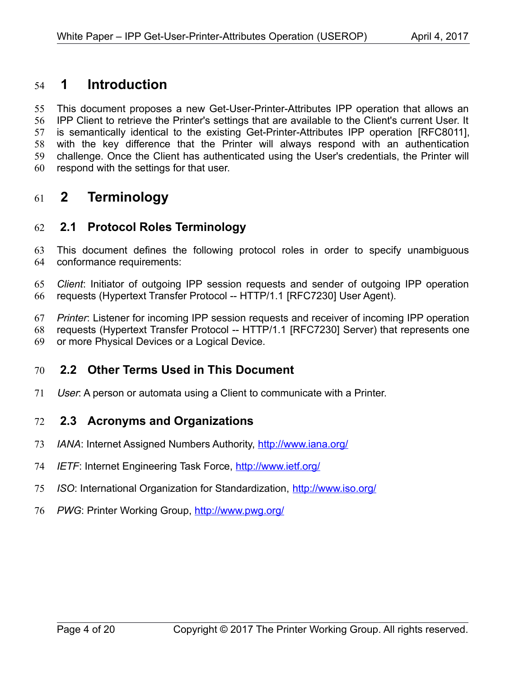## <span id="page-3-4"></span> **1 Introduction** 54

This document proposes a new Get-User-Printer-Attributes IPP operation that allows an IPP Client to retrieve the Printer's settings that are available to the Client's current User. It is semantically identical to the existing Get-Printer-Attributes IPP operation [\[RFC8011\],](#page-17-1) with the key difference that the Printer will always respond with an authentication challenge. Once the Client has authenticated using the User's credentials, the Printer will respond with the settings for that user. 55 56 57 58 59 60

## <span id="page-3-3"></span> **2 Terminology** 61

### <span id="page-3-2"></span> **2.1 Protocol Roles Terminology** 62

This document defines the following protocol roles in order to specify unambiguous conformance requirements: 63 64

*Client*: Initiator of outgoing IPP session requests and sender of outgoing IPP operation requests (Hypertext Transfer Protocol -- HTTP/1.1 [\[RFC7230\]](#page-17-2) User Agent). 65 66

*Printer*: Listener for incoming IPP session requests and receiver of incoming IPP operation requests (Hypertext Transfer Protocol -- HTTP/1.1 [\[RFC7230\]](#page-17-2) Server) that represents one 67 68

or more Physical Devices or a Logical Device. 69

#### <span id="page-3-1"></span> **2.2 Other Terms Used in This Document** 70

User: A person or automata using a Client to communicate with a Printer. 71

#### <span id="page-3-0"></span> **2.3 Acronyms and Organizations** 72

- *IANA*: Internet Assigned Numbers Authority,<http://www.iana.org/> 73
- *IETF*: Internet Engineering Task Force,<http://www.ietf.org/> 74
- *ISO*: International Organization for Standardization,<http://www.iso.org/> 75
- 76 PWG: Printer Working Group, **http://www.pwg.org/**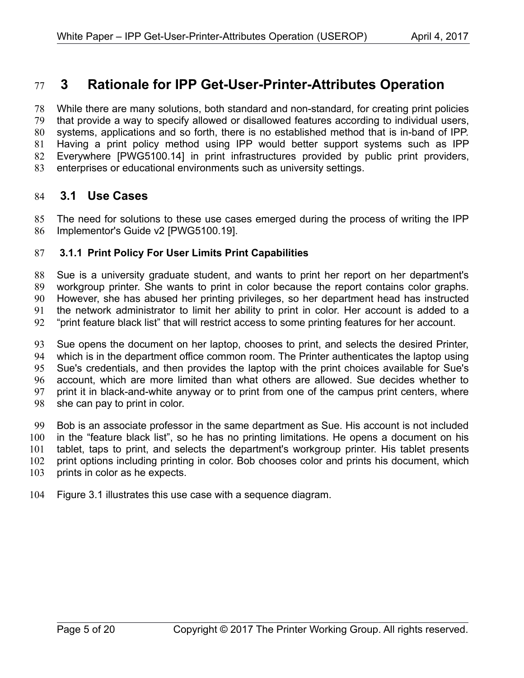## <span id="page-4-2"></span> **3 Rationale for IPP Get-User-Printer-Attributes Operation** 77

While there are many solutions, both standard and non-standard, for creating print policies that provide a way to specify allowed or disallowed features according to individual users, systems, applications and so forth, there is no established method that is in-band of IPP. Having a print policy method using IPP would better support systems such as IPP Everywhere [\[PWG5100.14\]](#page-17-4) in print infrastructures provided by public print providers, enterprises or educational environments such as university settings. 78 79 80 81 82 83

#### <span id="page-4-1"></span> **3.1 Use Cases** 84

The need for solutions to these use cases emerged during the process of writing the IPP Implementor's Guide v2 [\[PWG5100.19\].](#page-17-3) 85 86

#### <span id="page-4-0"></span> **3.1.1 Print Policy For User Limits Print Capabilities** 87

Sue is a university graduate student, and wants to print her report on her department's workgroup printer. She wants to print in color because the report contains color graphs. However, she has abused her printing privileges, so her department head has instructed the network administrator to limit her ability to print in color. Her account is added to a "print feature black list" that will restrict access to some printing features for her account. 88 89 90 91 92

Sue opens the document on her laptop, chooses to print, and selects the desired Printer, which is in the department office common room. The Printer authenticates the laptop using Sue's credentials, and then provides the laptop with the print choices available for Sue's account, which are more limited than what others are allowed. Sue decides whether to print it in black-and-white anyway or to print from one of the campus print centers, where she can pay to print in color. 93 94 95 96 97 98

Bob is an associate professor in the same department as Sue. His account is not included in the "feature black list", so he has no printing limitations. He opens a document on his tablet, taps to print, and selects the department's workgroup printer. His tablet presents print options including printing in color. Bob chooses color and prints his document, which prints in color as he expects. 99 100 101 102 103

Figure [3.1](#page-5-0) illustrates this use case with a sequence diagram. 104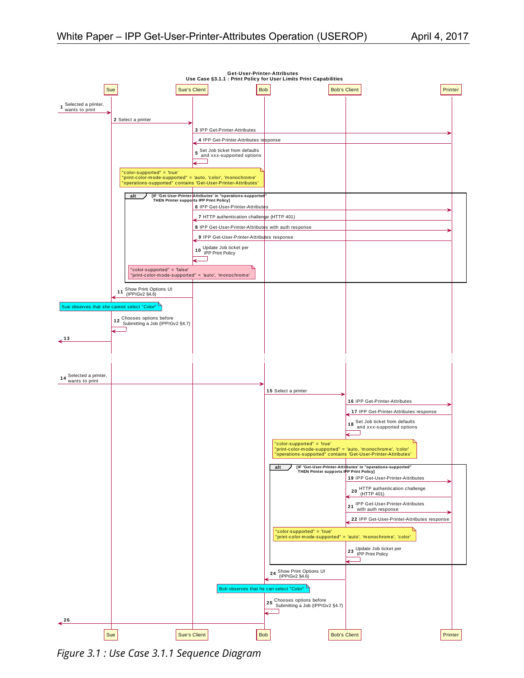**Get-User-Printer-Attributes**





<span id="page-5-0"></span>*Figure 3.1 : Use Case 3.1.1 Sequence Diagram*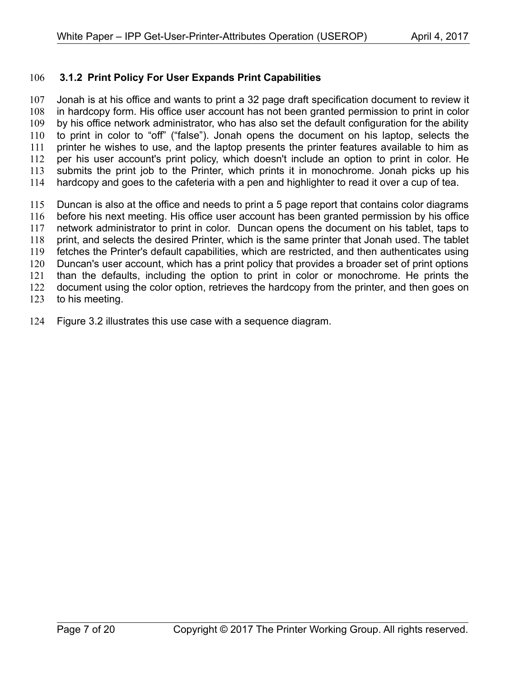#### <span id="page-6-0"></span> **3.1.2 Print Policy For User Expands Print Capabilities** 106

Jonah is at his office and wants to print a 32 page draft specification document to review it in hardcopy form. His office user account has not been granted permission to print in color by his office network administrator, who has also set the default configuration for the ability to print in color to "off" ("false"). Jonah opens the document on his laptop, selects the printer he wishes to use, and the laptop presents the printer features available to him as per his user account's print policy, which doesn't include an option to print in color. He submits the print job to the Printer, which prints it in monochrome. Jonah picks up his hardcopy and goes to the cafeteria with a pen and highlighter to read it over a cup of tea. 107 108 109 110 111 112 113 114

Duncan is also at the office and needs to print a 5 page report that contains color diagrams before his next meeting. His office user account has been granted permission by his office network administrator to print in color. Duncan opens the document on his tablet, taps to print, and selects the desired Printer, which is the same printer that Jonah used. The tablet fetches the Printer's default capabilities, which are restricted, and then authenticates using Duncan's user account, which has a print policy that provides a broader set of print options than the defaults, including the option to print in color or monochrome. He prints the document using the color option, retrieves the hardcopy from the printer, and then goes on to his meeting. 115 116 117 118 119 120 121 122 123

Figure [3.2](#page-7-0) illustrates this use case with a sequence diagram. 124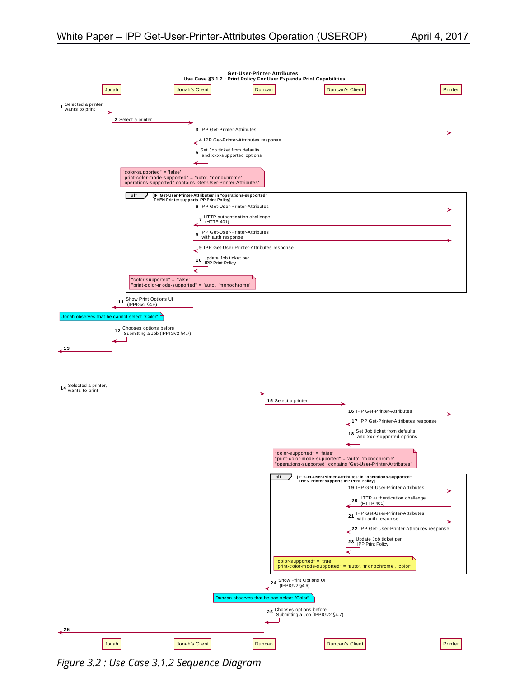

<span id="page-7-0"></span>*Figure 3.2 : Use Case 3.1.2 Sequence Diagram*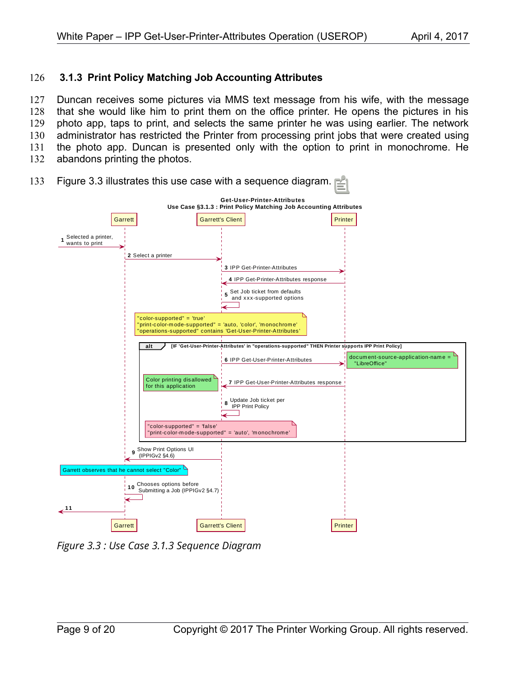#### <span id="page-8-0"></span> **3.1.3 Print Policy Matching Job Accounting Attributes** 126

Duncan receives some pictures via MMS text message from his wife, with the message that she would like him to print them on the office printer. He opens the pictures in his photo app, taps to print, and selects the same printer he was using earlier. The network administrator has restricted the Printer from processing print jobs that were created using the photo app. Duncan is presented only with the option to print in monochrome. He abandons printing the photos. 127 128 129 130 131 132



Figure [3.3](#page-8-1) illustrates this use case with a sequence diagram. 133

<span id="page-8-1"></span>*Figure 3.3 : Use Case 3.1.3 Sequence Diagram*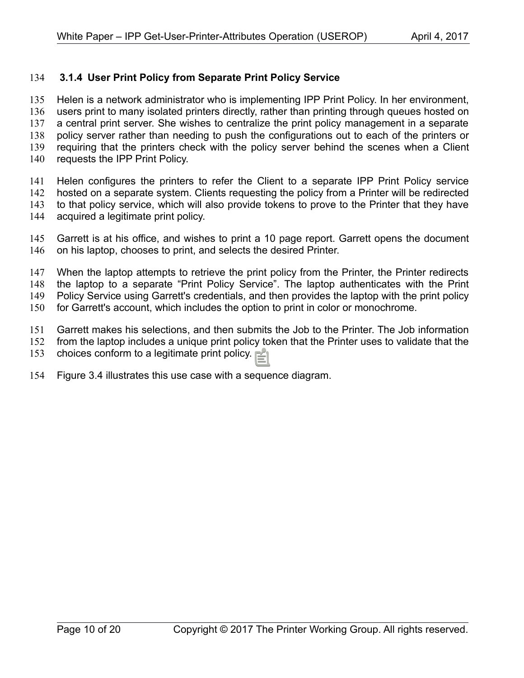#### <span id="page-9-0"></span> **3.1.4 User Print Policy from Separate Print Policy Service** 134

Helen is a network administrator who is implementing IPP Print Policy. In her environment, users print to many isolated printers directly, rather than printing through queues hosted on a central print server. She wishes to centralize the print policy management in a separate policy server rather than needing to push the configurations out to each of the printers or requiring that the printers check with the policy server behind the scenes when a Client requests the IPP Print Policy. 135 136 137 138 139 140

Helen configures the printers to refer the Client to a separate IPP Print Policy service hosted on a separate system. Clients requesting the policy from a Printer will be redirected to that policy service, which will also provide tokens to prove to the Printer that they have acquired a legitimate print policy. 141 142 143 144

Garrett is at his office, and wishes to print a 10 page report. Garrett opens the document on his laptop, chooses to print, and selects the desired Printer. 145 146

When the laptop attempts to retrieve the print policy from the Printer, the Printer redirects the laptop to a separate "Print Policy Service". The laptop authenticates with the Print Policy Service using Garrett's credentials, and then provides the laptop with the print policy for Garrett's account, which includes the option to print in color or monochrome. 147 148 149 150

Garrett makes his selections, and then submits the Job to the Printer. The Job information from the laptop includes a unique print policy token that the Printer uses to validate that the 151 152

choices conform to a legitimate print policy. 153

Figure [3.4](#page-10-0) illustrates this use case with a sequence diagram. 154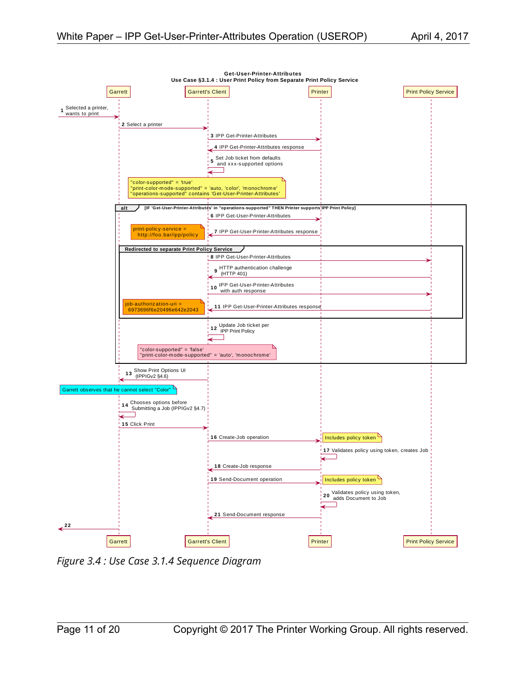

<span id="page-10-0"></span>*Figure 3.4 : Use Case 3.1.4 Sequence Diagram*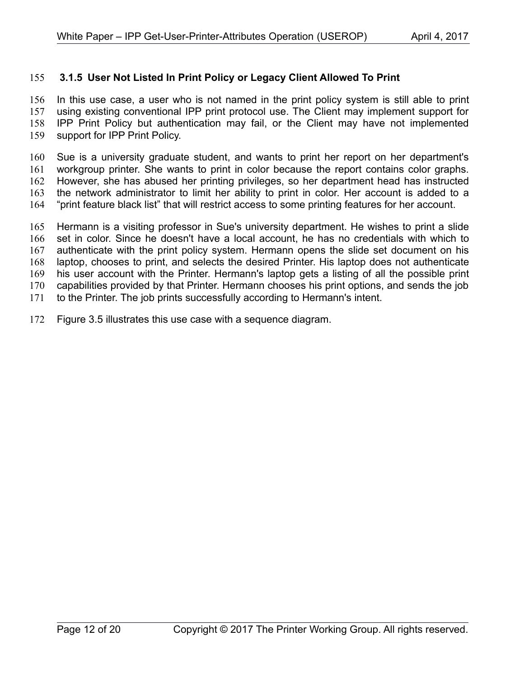#### <span id="page-11-0"></span> **3.1.5 User Not Listed In Print Policy or Legacy Client Allowed To Print** 155

In this use case, a user who is not named in the print policy system is still able to print using existing conventional IPP print protocol use. The Client may implement support for IPP Print Policy but authentication may fail, or the Client may have not implemented support for IPP Print Policy. 156 157 158 159

Sue is a university graduate student, and wants to print her report on her department's workgroup printer. She wants to print in color because the report contains color graphs. However, she has abused her printing privileges, so her department head has instructed the network administrator to limit her ability to print in color. Her account is added to a "print feature black list" that will restrict access to some printing features for her account. 160 161 162 163 164

Hermann is a visiting professor in Sue's university department. He wishes to print a slide set in color. Since he doesn't have a local account, he has no credentials with which to authenticate with the print policy system. Hermann opens the slide set document on his laptop, chooses to print, and selects the desired Printer. His laptop does not authenticate his user account with the Printer. Hermann's laptop gets a listing of all the possible print capabilities provided by that Printer. Hermann chooses his print options, and sends the job to the Printer. The job prints successfully according to Hermann's intent. 165 166 167 168 169 170 171

Figure [3.5](#page-12-0) illustrates this use case with a sequence diagram. 172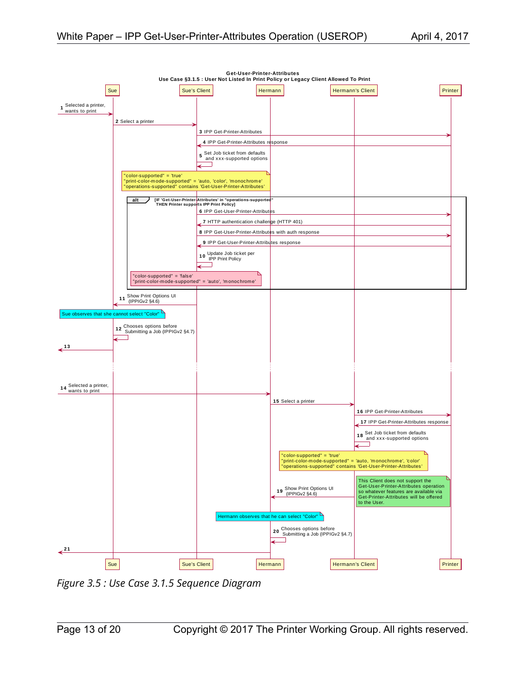

<span id="page-12-0"></span>*Figure 3.5 : Use Case 3.1.5 Sequence Diagram*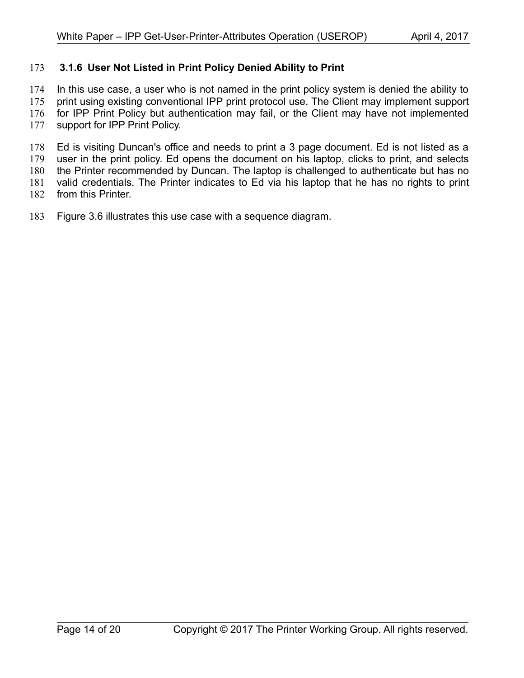#### <span id="page-13-0"></span> **3.1.6 User Not Listed in Print Policy Denied Ability to Print** 173

In this use case, a user who is not named in the print policy system is denied the ability to 174

print using existing conventional IPP print protocol use. The Client may implement support for IPP Print Policy but authentication may fail, or the Client may have not implemented 175 176

support for IPP Print Policy. 177

Ed is visiting Duncan's office and needs to print a 3 page document. Ed is not listed as a user in the print policy. Ed opens the document on his laptop, clicks to print, and selects the Printer recommended by Duncan. The laptop is challenged to authenticate but has no valid credentials. The Printer indicates to Ed via his laptop that he has no rights to print 178 179 180 181

from this Printer. 182

Figure [3.6](#page-14-0) illustrates this use case with a sequence diagram. 183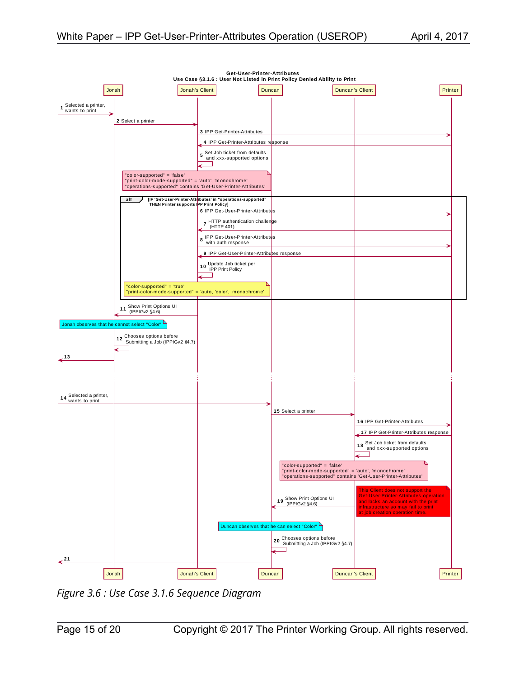

<span id="page-14-0"></span>*Figure 3.6 : Use Case 3.1.6 Sequence Diagram*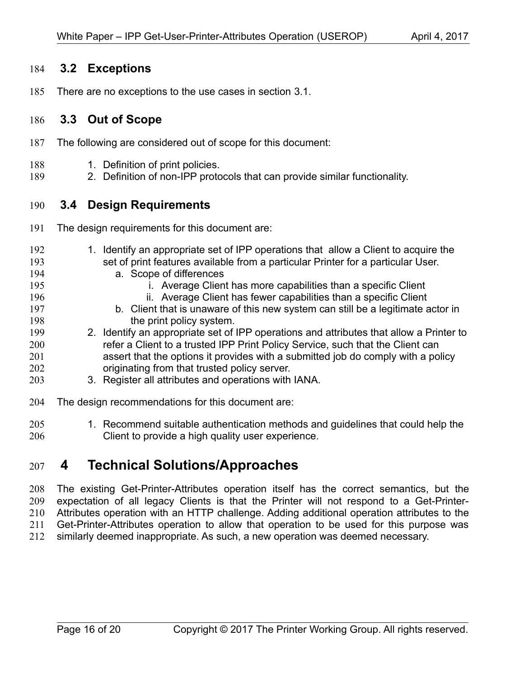#### <span id="page-15-3"></span> **3.2 Exceptions** 184

There are no exceptions to the use cases in section [3.1.](#page-4-1) 185

#### <span id="page-15-2"></span> **3.3 Out of Scope** 186

- The following are considered out of scope for this document: 187
- 1. Definition of print policies. 188
- 2. Definition of non-IPP protocols that can provide similar functionality. 189

#### <span id="page-15-1"></span> **3.4 Design Requirements** 190

- The design requirements for this document are: 191
- 1. Identify an appropriate set of IPP operations that allow a Client to acquire the set of print features available from a particular Printer for a particular User. a. Scope of differences i. Average Client has more capabilities than a specific Client ii. Average Client has fewer capabilities than a specific Client b. Client that is unaware of this new system can still be a legitimate actor in the print policy system. 2. Identify an appropriate set of IPP operations and attributes that allow a Printer to refer a Client to a trusted IPP Print Policy Service, such that the Client can 192 193 194 195 196 197 198 199 200
- assert that the options it provides with a submitted job do comply with a policy originating from that trusted policy server. 201 202
- 3. Register all attributes and operations with IANA. 203
- The design recommendations for this document are: 204
- 1. Recommend suitable authentication methods and guidelines that could help the Client to provide a high quality user experience. 205 206

## <span id="page-15-0"></span> **4 Technical Solutions/Approaches** 207

The existing Get-Printer-Attributes operation itself has the correct semantics, but the expectation of all legacy Clients is that the Printer will not respond to a Get-Printer-Attributes operation with an HTTP challenge. Adding additional operation attributes to the Get-Printer-Attributes operation to allow that operation to be used for this purpose was similarly deemed inappropriate. As such, a new operation was deemed necessary. 208 209 210 211 212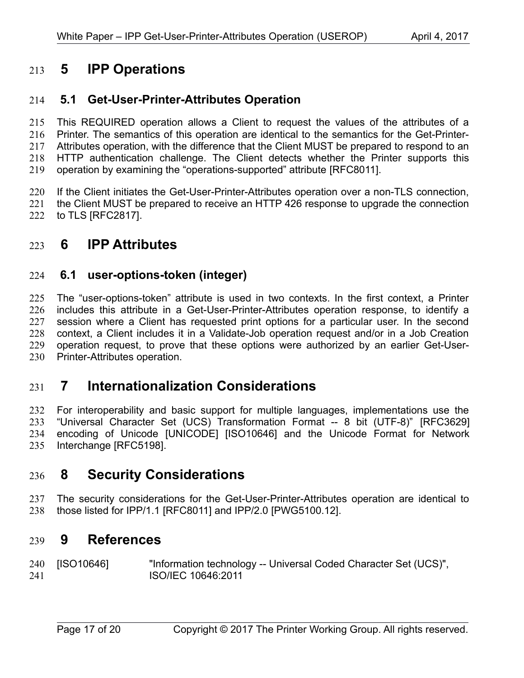## <span id="page-16-6"></span> **5 IPP Operations** 213

#### <span id="page-16-5"></span> **5.1 Get-User-Printer-Attributes Operation** 214

This REQUIRED operation allows a Client to request the values of the attributes of a Printer. The semantics of this operation are identical to the semantics for the Get-Printer-Attributes operation, with the difference that the Client MUST be prepared to respond to an HTTP authentication challenge. The Client detects whether the Printer supports this operation by examining the "operations-supported" attribute [\[RFC8011\].](#page-17-1) 215 216 217 218 219

If the Client initiates the Get-User-Printer-Attributes operation over a non-TLS connection, 220

the Client MUST be prepared to receive an HTTP 426 response to upgrade the connection to TLS [\[RFC2817\].](#page-17-9) 221 222

## <span id="page-16-4"></span> **6 IPP Attributes** 223

#### <span id="page-16-3"></span> **6.1 user-options-token (integer)** 224

The "user-options-token" attribute is used in two contexts. In the first context, a Printer includes this attribute in a Get-User-Printer-Attributes operation response, to identify a session where a Client has requested print options for a particular user. In the second context, a Client includes it in a Validate-Job operation request and/or in a Job Creation operation request, to prove that these options were authorized by an earlier Get-User-Printer-Attributes operation. 225 226 227 228 229 230

## <span id="page-16-2"></span> **7 Internationalization Considerations** 231

For interoperability and basic support for multiple languages, implementations use the "Universal Character Set (UCS) Transformation Format -- 8 bit (UTF-8)" [\[RFC3629\]](#page-17-8) encoding of Unicode [\[UNICODE\]](#page-17-7) [\[ISO10646\]](#page-16-7) and the Unicode Format for Network Interchange [\[RFC5198\].](#page-17-6) 232 233 234 235

## <span id="page-16-1"></span> **8 Security Considerations** 236

The security considerations for the Get-User-Printer-Attributes operation are identical to those listed for IPP/1.1 [\[RFC8011\]](#page-17-1) and IPP/2.0 [\[PWG5100.12\].](#page-17-5) 237 238

### <span id="page-16-0"></span> **9 References** 239

<span id="page-16-7"></span>[ISO10646] "Information technology -- Universal Coded Character Set (UCS)", ISO/IEC 10646:2011 240 241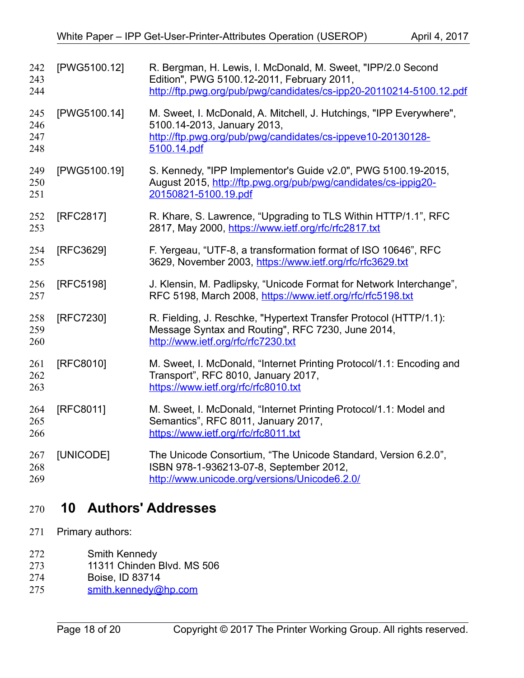<span id="page-17-9"></span><span id="page-17-8"></span><span id="page-17-6"></span><span id="page-17-5"></span><span id="page-17-4"></span><span id="page-17-3"></span>

| 242<br>243<br>244        | [PWG5100.12] | R. Bergman, H. Lewis, I. McDonald, M. Sweet, "IPP/2.0 Second<br>Edition", PWG 5100.12-2011, February 2011,<br>http://ftp.pwg.org/pub/pwg/candidates/cs-ipp20-20110214-5100.12.pdf |
|--------------------------|--------------|-----------------------------------------------------------------------------------------------------------------------------------------------------------------------------------|
| 245<br>246<br>247<br>248 | [PWG5100.14] | M. Sweet, I. McDonald, A. Mitchell, J. Hutchings, "IPP Everywhere",<br>5100.14-2013, January 2013,<br>http://ftp.pwg.org/pub/pwg/candidates/cs-ippeve10-20130128-<br>5100.14.pdf  |
| 249<br>250<br>251        | [PWG5100.19] | S. Kennedy, "IPP Implementor's Guide v2.0", PWG 5100.19-2015,<br>August 2015, http://ftp.pwg.org/pub/pwg/candidates/cs-ippig20-<br>20150821-5100.19.pdf                           |
| 252<br>253               | [RFC2817]    | R. Khare, S. Lawrence, "Upgrading to TLS Within HTTP/1.1", RFC<br>2817, May 2000, https://www.ietf.org/rfc/rfc2817.txt                                                            |
| 254<br>255               | [RFC3629]    | F. Yergeau, "UTF-8, a transformation format of ISO 10646", RFC<br>3629, November 2003, https://www.ietf.org/rfc/rfc3629.txt                                                       |
| 256<br>257               | [RFC5198]    | J. Klensin, M. Padlipsky, "Unicode Format for Network Interchange",<br>RFC 5198, March 2008, https://www.ietf.org/rfc/rfc5198.txt                                                 |
| 258<br>259<br>260        | [RFC7230]    | R. Fielding, J. Reschke, "Hypertext Transfer Protocol (HTTP/1.1):<br>Message Syntax and Routing", RFC 7230, June 2014,<br>http://www.ietf.org/rfc/rfc7230.txt                     |
| 261<br>262<br>263        | [RFC8010]    | M. Sweet, I. McDonald, "Internet Printing Protocol/1.1: Encoding and<br>Transport", RFC 8010, January 2017,<br>https://www.ietf.org/rfc/rfc8010.txt                               |
| 264<br>265<br>266        | [RFC8011]    | M. Sweet, I. McDonald, "Internet Printing Protocol/1.1: Model and<br>Semantics", RFC 8011, January 2017,<br>https://www.ietf.org/rfc/rfc8011.txt                                  |
| 267<br>268<br>269        | [UNICODE]    | The Unicode Consortium, "The Unicode Standard, Version 6.2.0",<br>ISBN 978-1-936213-07-8, September 2012,<br>http://www.unicode.org/versions/Unicode6.2.0/                        |

## <span id="page-17-7"></span><span id="page-17-2"></span><span id="page-17-1"></span><span id="page-17-0"></span> **10 Authors' Addresses** 270

- Primary authors: 271
- Smith Kennedy 272
- 11311 Chinden Blvd. MS 506 273
- Boise, ID 83714 274
- [smith.kennedy@hp.com](mailto:smith.kennedy@hp.com) 275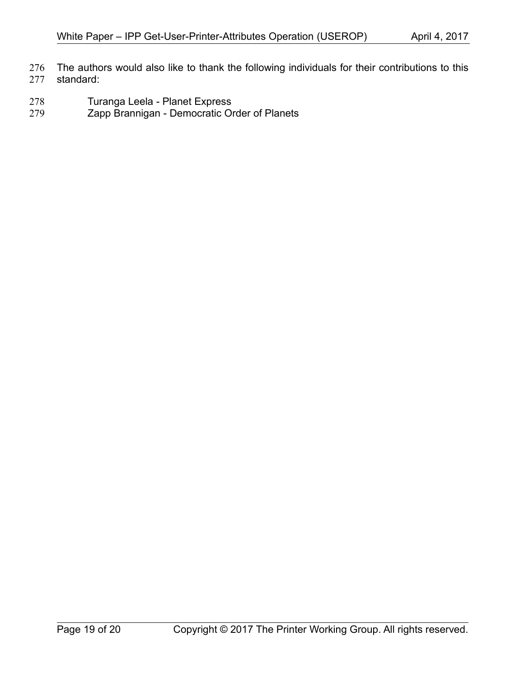- The authors would also like to thank the following individuals for their contributions to this standard: 276 277
- Turanga Leela Planet Express 278
- Zapp Brannigan Democratic Order of Planets 279